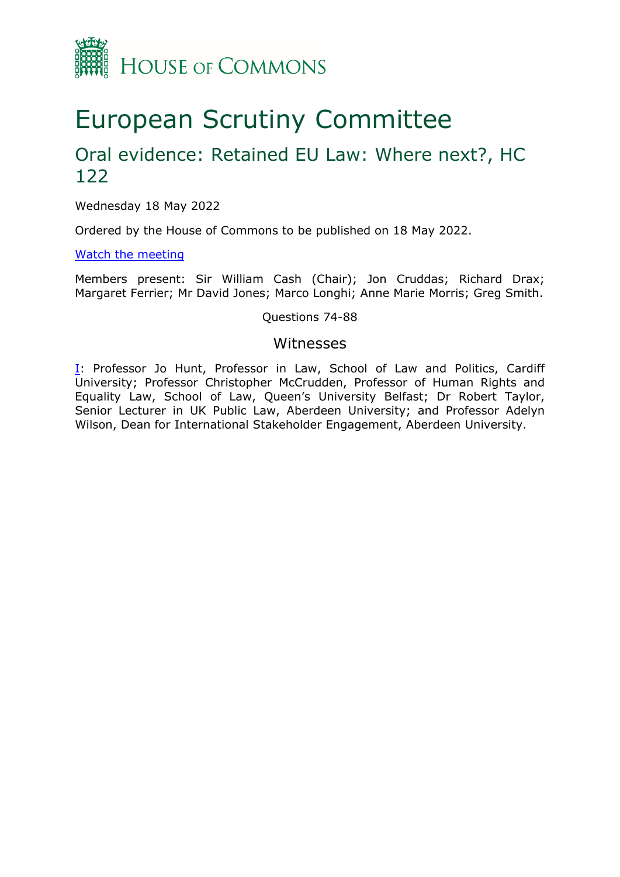

## European Scrutiny Committee

## Oral evidence: Retained EU Law: Where next?, HC 122

Wednesday 18 May 2022

Ordered by the House of Commons to be published on 18 May 2022.

[Watch](https://parliamentlive.tv/Event/Index/6dd38b39-19ed-4407-98aa-012cf090d6e9) [the](https://parliamentlive.tv/Event/Index/6dd38b39-19ed-4407-98aa-012cf090d6e9) [meeting](https://parliamentlive.tv/Event/Index/6dd38b39-19ed-4407-98aa-012cf090d6e9)

Members present: Sir William Cash (Chair); Jon Cruddas; Richard Drax; Margaret Ferrier; Mr David Jones; Marco Longhi; Anne Marie Morris; Greg Smith.

Questions 74-88

## Witnesses

[I:](#page-1-0) Professor Jo Hunt, Professor in Law, School of Law and Politics, Cardiff University; Professor Christopher McCrudden, Professor of Human Rights and Equality Law, School of Law, Queen's University Belfast; Dr Robert Taylor, Senior Lecturer in UK Public Law, Aberdeen University; and Professor Adelyn Wilson, Dean for International Stakeholder Engagement, Aberdeen University.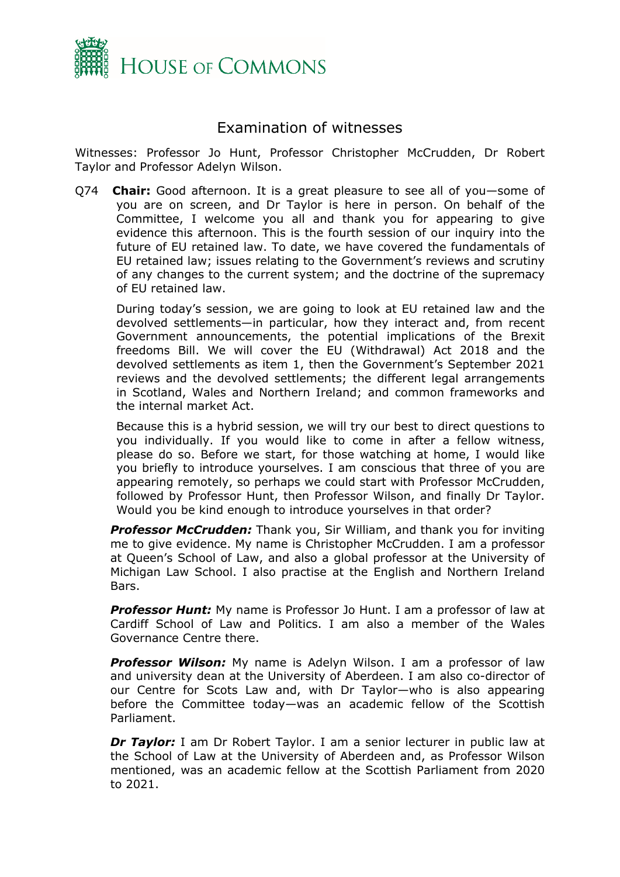

## <span id="page-1-0"></span>Examination of witnesses

Witnesses: Professor Jo Hunt, Professor Christopher McCrudden, Dr Robert Taylor and Professor Adelyn Wilson.

Q74 **Chair:** Good afternoon. It is a great pleasure to see all of you—some of you are on screen, and Dr Taylor is here in person. On behalf of the Committee, I welcome you all and thank you for appearing to give evidence this afternoon. This is the fourth session of our inquiry into the future of EU retained law. To date, we have covered the fundamentals of EU retained law; issues relating to the Government's reviews and scrutiny of any changes to the current system; and the doctrine of the supremacy of EU retained law.

During today's session, we are going to look at EU retained law and the devolved settlements—in particular, how they interact and, from recent Government announcements, the potential implications of the Brexit freedoms Bill. We will cover the EU (Withdrawal) Act 2018 and the devolved settlements as item 1, then the Government's September 2021 reviews and the devolved settlements; the different legal arrangements in Scotland, Wales and Northern Ireland; and common frameworks and the internal market Act.

Because this is a hybrid session, we will try our best to direct questions to you individually. If you would like to come in after a fellow witness, please do so. Before we start, for those watching at home, I would like you briefly to introduce yourselves. I am conscious that three of you are appearing remotely, so perhaps we could start with Professor McCrudden, followed by Professor Hunt, then Professor Wilson, and finally Dr Taylor. Would you be kind enough to introduce yourselves in that order?

*Professor McCrudden:* Thank you, Sir William, and thank you for inviting me to give evidence. My name is Christopher McCrudden. I am a professor at Queen's School of Law, and also a global professor at the University of Michigan Law School. I also practise at the English and Northern Ireland Bars.

*Professor Hunt:* My name is Professor Jo Hunt. I am a professor of law at Cardiff School of Law and Politics. I am also a member of the Wales Governance Centre there.

**Professor Wilson:** My name is Adelyn Wilson. I am a professor of law and university dean at the University of Aberdeen. I am also co-director of our Centre for Scots Law and, with Dr Taylor—who is also appearing before the Committee today—was an academic fellow of the Scottish Parliament.

*Dr Taylor:* I am Dr Robert Taylor. I am a senior lecturer in public law at the School of Law at the University of Aberdeen and, as Professor Wilson mentioned, was an academic fellow at the Scottish Parliament from 2020 to 2021.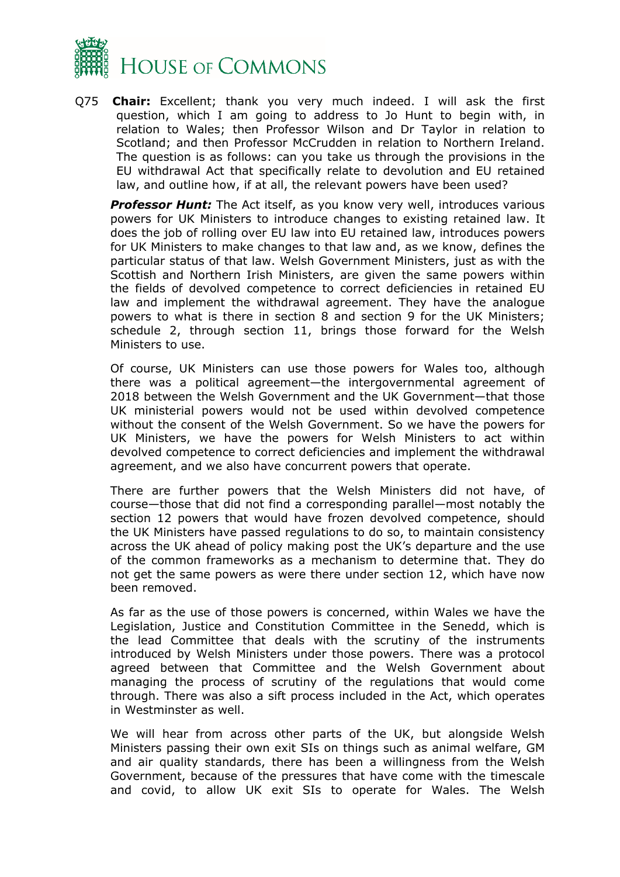

Q75 **Chair:** Excellent; thank you very much indeed. I will ask the first question, which I am going to address to Jo Hunt to begin with, in relation to Wales; then Professor Wilson and Dr Taylor in relation to Scotland; and then Professor McCrudden in relation to Northern Ireland. The question is as follows: can you take us through the provisions in the EU withdrawal Act that specifically relate to devolution and EU retained law, and outline how, if at all, the relevant powers have been used?

**Professor Hunt:** The Act itself, as you know very well, introduces various powers for UK Ministers to introduce changes to existing retained law. It does the job of rolling over EU law into EU retained law, introduces powers for UK Ministers to make changes to that law and, as we know, defines the particular status of that law. Welsh Government Ministers, just as with the Scottish and Northern Irish Ministers, are given the same powers within the fields of devolved competence to correct deficiencies in retained EU law and implement the withdrawal agreement. They have the analogue powers to what is there in section 8 and section 9 for the UK Ministers; schedule 2, through section 11, brings those forward for the Welsh Ministers to use.

Of course, UK Ministers can use those powers for Wales too, although there was a political agreement—the intergovernmental agreement of 2018 between the Welsh Government and the UK Government—that those UK ministerial powers would not be used within devolved competence without the consent of the Welsh Government. So we have the powers for UK Ministers, we have the powers for Welsh Ministers to act within devolved competence to correct deficiencies and implement the withdrawal agreement, and we also have concurrent powers that operate.

There are further powers that the Welsh Ministers did not have, of course—those that did not find a corresponding parallel—most notably the section 12 powers that would have frozen devolved competence, should the UK Ministers have passed regulations to do so, to maintain consistency across the UK ahead of policy making post the UK's departure and the use of the common frameworks as a mechanism to determine that. They do not get the same powers as were there under section 12, which have now been removed.

As far as the use of those powers is concerned, within Wales we have the Legislation, Justice and Constitution Committee in the Senedd, which is the lead Committee that deals with the scrutiny of the instruments introduced by Welsh Ministers under those powers. There was a protocol agreed between that Committee and the Welsh Government about managing the process of scrutiny of the regulations that would come through. There was also a sift process included in the Act, which operates in Westminster as well.

We will hear from across other parts of the UK, but alongside Welsh Ministers passing their own exit SIs on things such as animal welfare, GM and air quality standards, there has been a willingness from the Welsh Government, because of the pressures that have come with the timescale and covid, to allow UK exit SIs to operate for Wales. The Welsh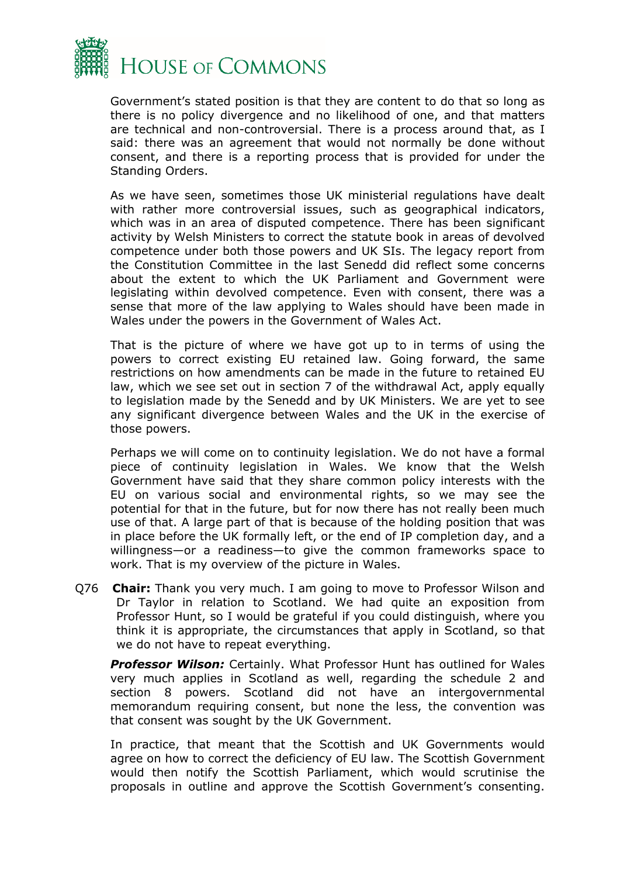

Government's stated position is that they are content to do that so long as there is no policy divergence and no likelihood of one, and that matters are technical and non-controversial. There is a process around that, as I said: there was an agreement that would not normally be done without consent, and there is a reporting process that is provided for under the Standing Orders.

As we have seen, sometimes those UK ministerial regulations have dealt with rather more controversial issues, such as geographical indicators, which was in an area of disputed competence. There has been significant activity by Welsh Ministers to correct the statute book in areas of devolved competence under both those powers and UK SIs. The legacy report from the Constitution Committee in the last Senedd did reflect some concerns about the extent to which the UK Parliament and Government were legislating within devolved competence. Even with consent, there was a sense that more of the law applying to Wales should have been made in Wales under the powers in the Government of Wales Act.

That is the picture of where we have got up to in terms of using the powers to correct existing EU retained law. Going forward, the same restrictions on how amendments can be made in the future to retained EU law, which we see set out in section 7 of the withdrawal Act, apply equally to legislation made by the Senedd and by UK Ministers. We are yet to see any significant divergence between Wales and the UK in the exercise of those powers.

Perhaps we will come on to continuity legislation. We do not have a formal piece of continuity legislation in Wales. We know that the Welsh Government have said that they share common policy interests with the EU on various social and environmental rights, so we may see the potential for that in the future, but for now there has not really been much use of that. A large part of that is because of the holding position that was in place before the UK formally left, or the end of IP completion day, and a willingness—or a readiness—to give the common frameworks space to work. That is my overview of the picture in Wales.

Q76 **Chair:** Thank you very much. I am going to move to Professor Wilson and Dr Taylor in relation to Scotland. We had quite an exposition from Professor Hunt, so I would be grateful if you could distinguish, where you think it is appropriate, the circumstances that apply in Scotland, so that we do not have to repeat everything.

**Professor Wilson:** Certainly. What Professor Hunt has outlined for Wales very much applies in Scotland as well, regarding the schedule 2 and section 8 powers. Scotland did not have an intergovernmental memorandum requiring consent, but none the less, the convention was that consent was sought by the UK Government.

In practice, that meant that the Scottish and UK Governments would agree on how to correct the deficiency of EU law. The Scottish Government would then notify the Scottish Parliament, which would scrutinise the proposals in outline and approve the Scottish Government's consenting.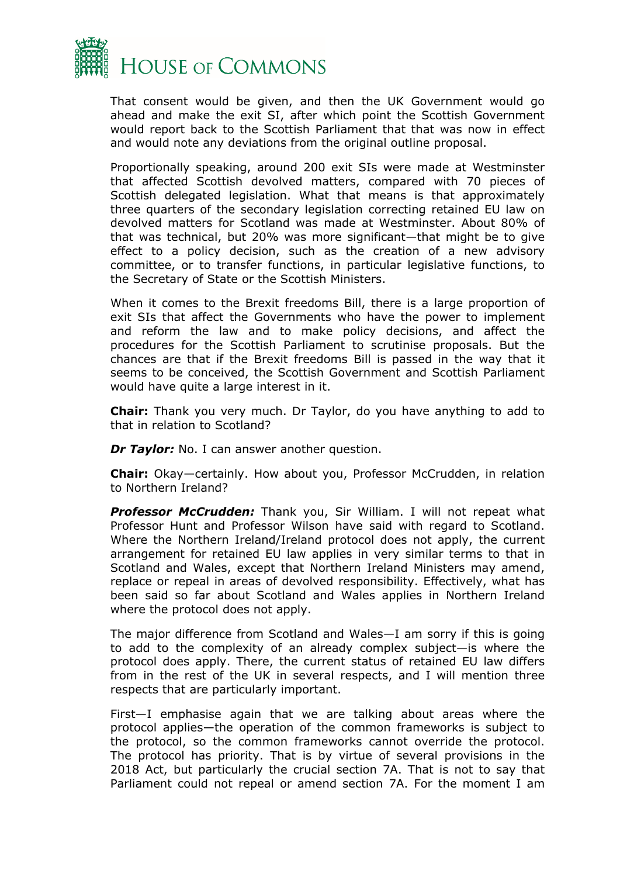

That consent would be given, and then the UK Government would go ahead and make the exit SI, after which point the Scottish Government would report back to the Scottish Parliament that that was now in effect and would note any deviations from the original outline proposal.

Proportionally speaking, around 200 exit SIs were made at Westminster that affected Scottish devolved matters, compared with 70 pieces of Scottish delegated legislation. What that means is that approximately three quarters of the secondary legislation correcting retained EU law on devolved matters for Scotland was made at Westminster. About 80% of that was technical, but 20% was more significant—that might be to give effect to a policy decision, such as the creation of a new advisory committee, or to transfer functions, in particular legislative functions, to the Secretary of State or the Scottish Ministers.

When it comes to the Brexit freedoms Bill, there is a large proportion of exit SIs that affect the Governments who have the power to implement and reform the law and to make policy decisions, and affect the procedures for the Scottish Parliament to scrutinise proposals. But the chances are that if the Brexit freedoms Bill is passed in the way that it seems to be conceived, the Scottish Government and Scottish Parliament would have quite a large interest in it.

**Chair:** Thank you very much. Dr Taylor, do you have anything to add to that in relation to Scotland?

*Dr Taylor:* No. I can answer another question.

**Chair:** Okay—certainly. How about you, Professor McCrudden, in relation to Northern Ireland?

**Professor McCrudden:** Thank you, Sir William. I will not repeat what Professor Hunt and Professor Wilson have said with regard to Scotland. Where the Northern Ireland/Ireland protocol does not apply, the current arrangement for retained EU law applies in very similar terms to that in Scotland and Wales, except that Northern Ireland Ministers may amend, replace or repeal in areas of devolved responsibility. Effectively, what has been said so far about Scotland and Wales applies in Northern Ireland where the protocol does not apply.

The major difference from Scotland and Wales—I am sorry if this is going to add to the complexity of an already complex subject—is where the protocol does apply. There, the current status of retained EU law differs from in the rest of the UK in several respects, and I will mention three respects that are particularly important.

First—I emphasise again that we are talking about areas where the protocol applies—the operation of the common frameworks is subject to the protocol, so the common frameworks cannot override the protocol. The protocol has priority. That is by virtue of several provisions in the 2018 Act, but particularly the crucial section 7A. That is not to say that Parliament could not repeal or amend section 7A. For the moment I am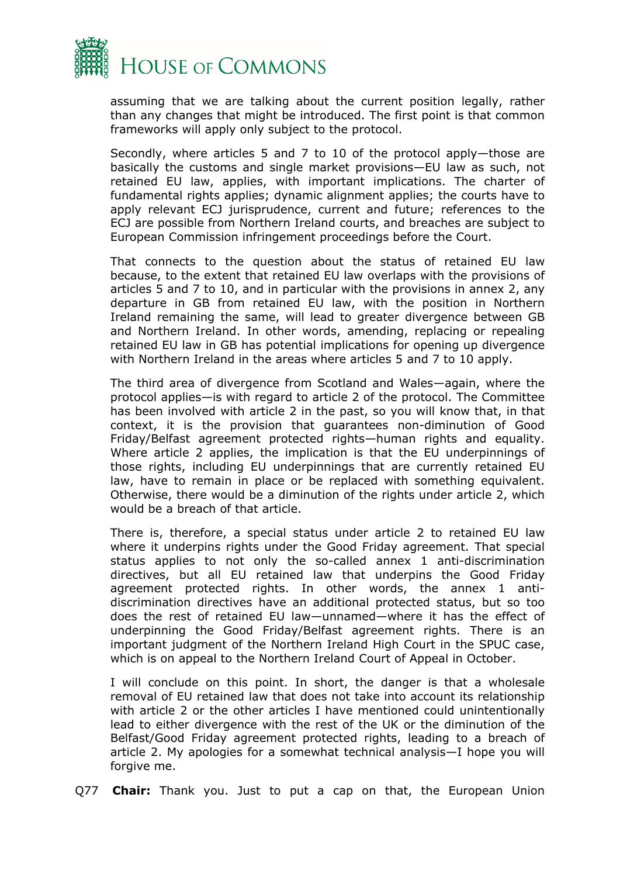

assuming that we are talking about the current position legally, rather than any changes that might be introduced. The first point is that common frameworks will apply only subject to the protocol.

Secondly, where articles 5 and 7 to 10 of the protocol apply—those are basically the customs and single market provisions—EU law as such, not retained EU law, applies, with important implications. The charter of fundamental rights applies; dynamic alignment applies; the courts have to apply relevant ECJ jurisprudence, current and future; references to the ECJ are possible from Northern Ireland courts, and breaches are subject to European Commission infringement proceedings before the Court.

That connects to the question about the status of retained EU law because, to the extent that retained EU law overlaps with the provisions of articles 5 and 7 to 10, and in particular with the provisions in annex 2, any departure in GB from retained EU law, with the position in Northern Ireland remaining the same, will lead to greater divergence between GB and Northern Ireland. In other words, amending, replacing or repealing retained EU law in GB has potential implications for opening up divergence with Northern Ireland in the areas where articles 5 and 7 to 10 apply.

The third area of divergence from Scotland and Wales—again, where the protocol applies—is with regard to article 2 of the protocol. The Committee has been involved with article 2 in the past, so you will know that, in that context, it is the provision that guarantees non-diminution of Good Friday/Belfast agreement protected rights—human rights and equality. Where article 2 applies, the implication is that the EU underpinnings of those rights, including EU underpinnings that are currently retained EU law, have to remain in place or be replaced with something equivalent. Otherwise, there would be a diminution of the rights under article 2, which would be a breach of that article.

There is, therefore, a special status under article 2 to retained EU law where it underpins rights under the Good Friday agreement. That special status applies to not only the so-called annex 1 anti-discrimination directives, but all EU retained law that underpins the Good Friday agreement protected rights. In other words, the annex 1 antidiscrimination directives have an additional protected status, but so too does the rest of retained EU law—unnamed—where it has the effect of underpinning the Good Friday/Belfast agreement rights. There is an important judgment of the Northern Ireland High Court in the SPUC case, which is on appeal to the Northern Ireland Court of Appeal in October.

I will conclude on this point. In short, the danger is that a wholesale removal of EU retained law that does not take into account its relationship with article 2 or the other articles I have mentioned could unintentionally lead to either divergence with the rest of the UK or the diminution of the Belfast/Good Friday agreement protected rights, leading to a breach of article 2. My apologies for a somewhat technical analysis—I hope you will forgive me.

Q77 **Chair:** Thank you. Just to put a cap on that, the European Union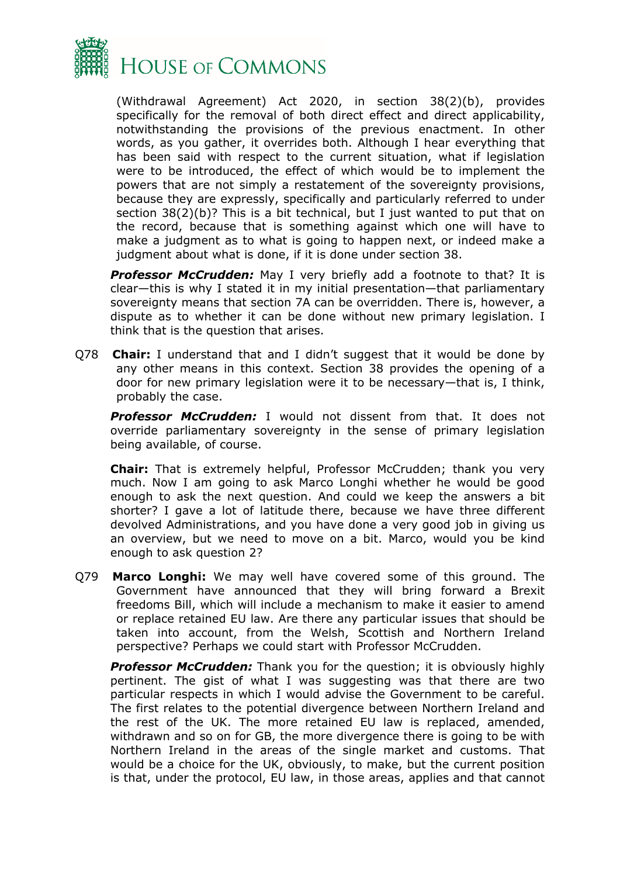

(Withdrawal Agreement) Act 2020, in section 38(2)(b), provides specifically for the removal of both direct effect and direct applicability, notwithstanding the provisions of the previous enactment. In other words, as you gather, it overrides both. Although I hear everything that has been said with respect to the current situation, what if legislation were to be introduced, the effect of which would be to implement the powers that are not simply a restatement of the sovereignty provisions, because they are expressly, specifically and particularly referred to under section 38(2)(b)? This is a bit technical, but I just wanted to put that on the record, because that is something against which one will have to make a judgment as to what is going to happen next, or indeed make a judgment about what is done, if it is done under section 38.

*Professor McCrudden:* May I very briefly add a footnote to that? It is clear—this is why I stated it in my initial presentation—that parliamentary sovereignty means that section 7A can be overridden. There is, however, a dispute as to whether it can be done without new primary legislation. I think that is the question that arises.

Q78 **Chair:** I understand that and I didn't suggest that it would be done by any other means in this context. Section 38 provides the opening of a door for new primary legislation were it to be necessary—that is, I think, probably the case.

*Professor McCrudden:* I would not dissent from that. It does not override parliamentary sovereignty in the sense of primary legislation being available, of course.

**Chair:** That is extremely helpful, Professor McCrudden; thank you very much. Now I am going to ask Marco Longhi whether he would be good enough to ask the next question. And could we keep the answers a bit shorter? I gave a lot of latitude there, because we have three different devolved Administrations, and you have done a very good job in giving us an overview, but we need to move on a bit. Marco, would you be kind enough to ask question 2?

Q79 **Marco Longhi:** We may well have covered some of this ground. The Government have announced that they will bring forward a Brexit freedoms Bill, which will include a mechanism to make it easier to amend or replace retained EU law. Are there any particular issues that should be taken into account, from the Welsh, Scottish and Northern Ireland perspective? Perhaps we could start with Professor McCrudden.

**Professor McCrudden:** Thank you for the question; it is obviously highly pertinent. The gist of what I was suggesting was that there are two particular respects in which I would advise the Government to be careful. The first relates to the potential divergence between Northern Ireland and the rest of the UK. The more retained EU law is replaced, amended, withdrawn and so on for GB, the more divergence there is going to be with Northern Ireland in the areas of the single market and customs. That would be a choice for the UK, obviously, to make, but the current position is that, under the protocol, EU law, in those areas, applies and that cannot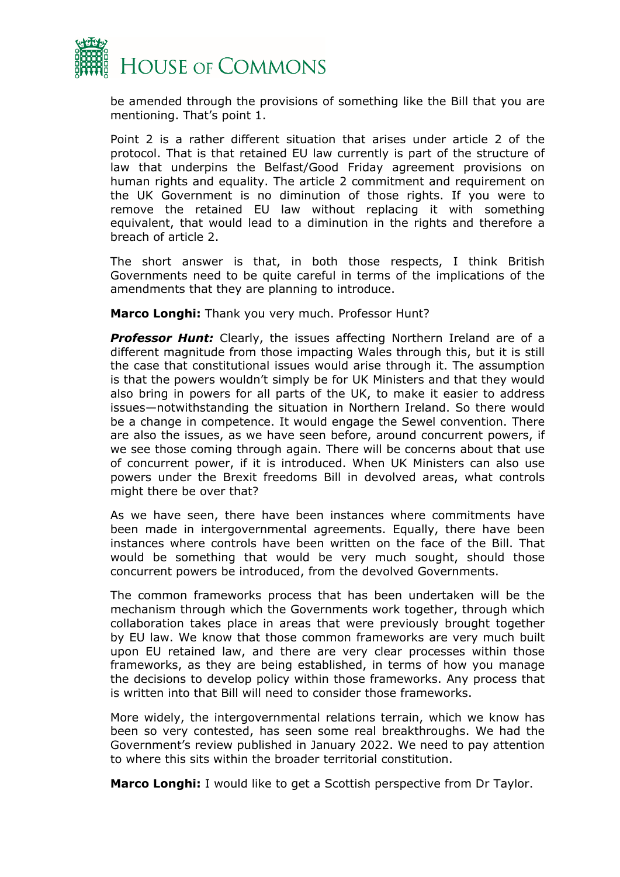

be amended through the provisions of something like the Bill that you are mentioning. That's point 1.

Point 2 is a rather different situation that arises under article 2 of the protocol. That is that retained EU law currently is part of the structure of law that underpins the Belfast/Good Friday agreement provisions on human rights and equality. The article 2 commitment and requirement on the UK Government is no diminution of those rights. If you were to remove the retained EU law without replacing it with something equivalent, that would lead to a diminution in the rights and therefore a breach of article 2.

The short answer is that, in both those respects, I think British Governments need to be quite careful in terms of the implications of the amendments that they are planning to introduce.

**Marco Longhi:** Thank you very much. Professor Hunt?

*Professor Hunt:* Clearly, the issues affecting Northern Ireland are of a different magnitude from those impacting Wales through this, but it is still the case that constitutional issues would arise through it. The assumption is that the powers wouldn't simply be for UK Ministers and that they would also bring in powers for all parts of the UK, to make it easier to address issues—notwithstanding the situation in Northern Ireland. So there would be a change in competence. It would engage the Sewel convention. There are also the issues, as we have seen before, around concurrent powers, if we see those coming through again. There will be concerns about that use of concurrent power, if it is introduced. When UK Ministers can also use powers under the Brexit freedoms Bill in devolved areas, what controls might there be over that?

As we have seen, there have been instances where commitments have been made in intergovernmental agreements. Equally, there have been instances where controls have been written on the face of the Bill. That would be something that would be very much sought, should those concurrent powers be introduced, from the devolved Governments.

The common frameworks process that has been undertaken will be the mechanism through which the Governments work together, through which collaboration takes place in areas that were previously brought together by EU law. We know that those common frameworks are very much built upon EU retained law, and there are very clear processes within those frameworks, as they are being established, in terms of how you manage the decisions to develop policy within those frameworks. Any process that is written into that Bill will need to consider those frameworks.

More widely, the intergovernmental relations terrain, which we know has been so very contested, has seen some real breakthroughs. We had the Government's review published in January 2022. We need to pay attention to where this sits within the broader territorial constitution.

**Marco Longhi:** I would like to get a Scottish perspective from Dr Taylor.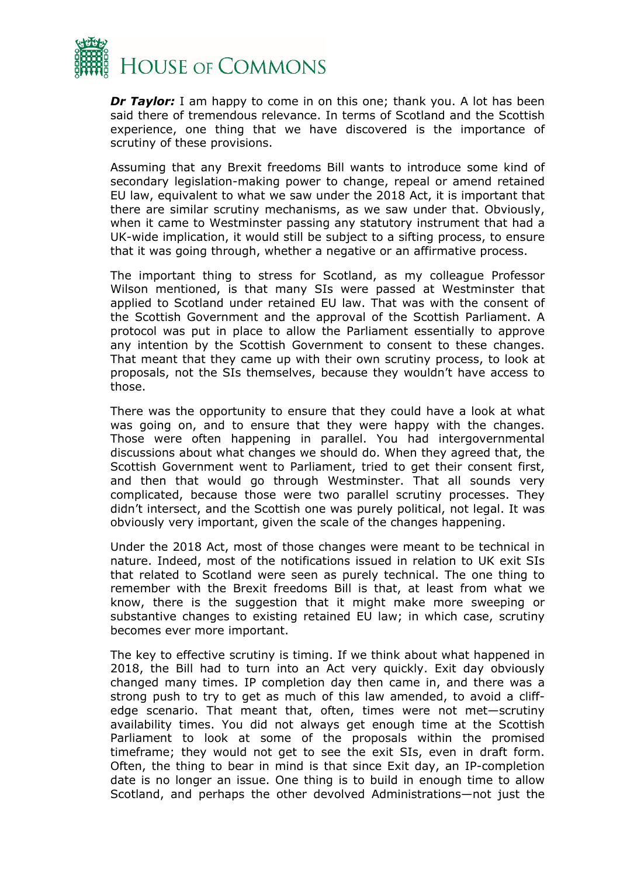

*Dr Taylor:* I am happy to come in on this one; thank you. A lot has been said there of tremendous relevance. In terms of Scotland and the Scottish experience, one thing that we have discovered is the importance of scrutiny of these provisions.

Assuming that any Brexit freedoms Bill wants to introduce some kind of secondary legislation-making power to change, repeal or amend retained EU law, equivalent to what we saw under the 2018 Act, it is important that there are similar scrutiny mechanisms, as we saw under that. Obviously, when it came to Westminster passing any statutory instrument that had a UK-wide implication, it would still be subject to a sifting process, to ensure that it was going through, whether a negative or an affirmative process.

The important thing to stress for Scotland, as my colleague Professor Wilson mentioned, is that many SIs were passed at Westminster that applied to Scotland under retained EU law. That was with the consent of the Scottish Government and the approval of the Scottish Parliament. A protocol was put in place to allow the Parliament essentially to approve any intention by the Scottish Government to consent to these changes. That meant that they came up with their own scrutiny process, to look at proposals, not the SIs themselves, because they wouldn't have access to those.

There was the opportunity to ensure that they could have a look at what was going on, and to ensure that they were happy with the changes. Those were often happening in parallel. You had intergovernmental discussions about what changes we should do. When they agreed that, the Scottish Government went to Parliament, tried to get their consent first, and then that would go through Westminster. That all sounds very complicated, because those were two parallel scrutiny processes. They didn't intersect, and the Scottish one was purely political, not legal. It was obviously very important, given the scale of the changes happening.

Under the 2018 Act, most of those changes were meant to be technical in nature. Indeed, most of the notifications issued in relation to UK exit SIs that related to Scotland were seen as purely technical. The one thing to remember with the Brexit freedoms Bill is that, at least from what we know, there is the suggestion that it might make more sweeping or substantive changes to existing retained EU law; in which case, scrutiny becomes ever more important.

The key to effective scrutiny is timing. If we think about what happened in 2018, the Bill had to turn into an Act very quickly. Exit day obviously changed many times. IP completion day then came in, and there was a strong push to try to get as much of this law amended, to avoid a cliffedge scenario. That meant that, often, times were not met—scrutiny availability times. You did not always get enough time at the Scottish Parliament to look at some of the proposals within the promised timeframe; they would not get to see the exit SIs, even in draft form. Often, the thing to bear in mind is that since Exit day, an IP-completion date is no longer an issue. One thing is to build in enough time to allow Scotland, and perhaps the other devolved Administrations—not just the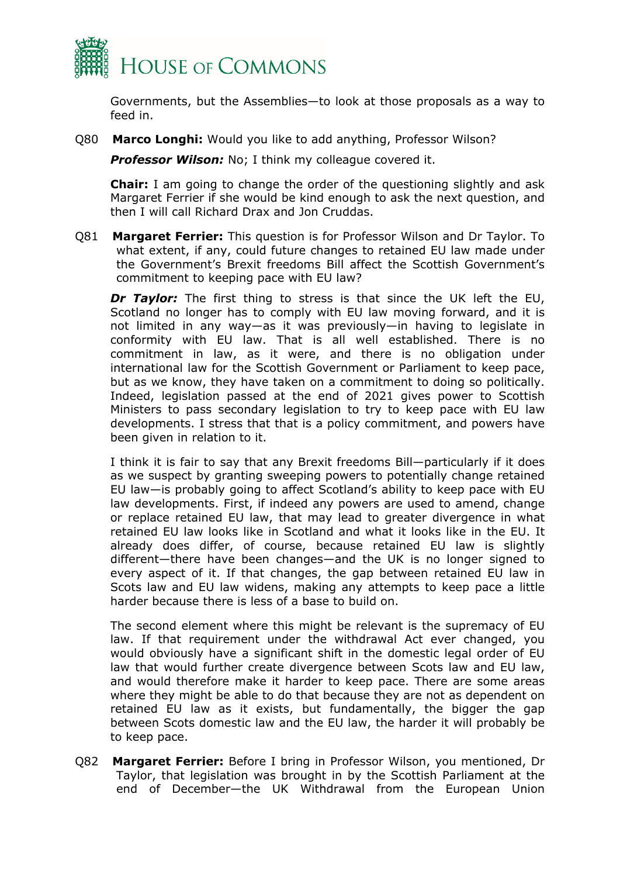

Governments, but the Assemblies—to look at those proposals as a way to feed in.

Q80 **Marco Longhi:** Would you like to add anything, Professor Wilson?

*Professor Wilson:* No; I think my colleague covered it.

**Chair:** I am going to change the order of the questioning slightly and ask Margaret Ferrier if she would be kind enough to ask the next question, and then I will call Richard Drax and Jon Cruddas.

Q81 **Margaret Ferrier:** This question is for Professor Wilson and Dr Taylor. To what extent, if any, could future changes to retained EU law made under the Government's Brexit freedoms Bill affect the Scottish Government's commitment to keeping pace with EU law?

*Dr Taylor:* The first thing to stress is that since the UK left the EU, Scotland no longer has to comply with EU law moving forward, and it is not limited in any way—as it was previously—in having to legislate in conformity with EU law. That is all well established. There is no commitment in law, as it were, and there is no obligation under international law for the Scottish Government or Parliament to keep pace, but as we know, they have taken on a commitment to doing so politically. Indeed, legislation passed at the end of 2021 gives power to Scottish Ministers to pass secondary legislation to try to keep pace with EU law developments. I stress that that is a policy commitment, and powers have been given in relation to it.

I think it is fair to say that any Brexit freedoms Bill—particularly if it does as we suspect by granting sweeping powers to potentially change retained EU law—is probably going to affect Scotland's ability to keep pace with EU law developments. First, if indeed any powers are used to amend, change or replace retained EU law, that may lead to greater divergence in what retained EU law looks like in Scotland and what it looks like in the EU. It already does differ, of course, because retained EU law is slightly different—there have been changes—and the UK is no longer signed to every aspect of it. If that changes, the gap between retained EU law in Scots law and EU law widens, making any attempts to keep pace a little harder because there is less of a base to build on.

The second element where this might be relevant is the supremacy of EU law. If that requirement under the withdrawal Act ever changed, you would obviously have a significant shift in the domestic legal order of EU law that would further create divergence between Scots law and EU law, and would therefore make it harder to keep pace. There are some areas where they might be able to do that because they are not as dependent on retained EU law as it exists, but fundamentally, the bigger the gap between Scots domestic law and the EU law, the harder it will probably be to keep pace.

Q82 **Margaret Ferrier:** Before I bring in Professor Wilson, you mentioned, Dr Taylor, that legislation was brought in by the Scottish Parliament at the end of December—the UK Withdrawal from the European Union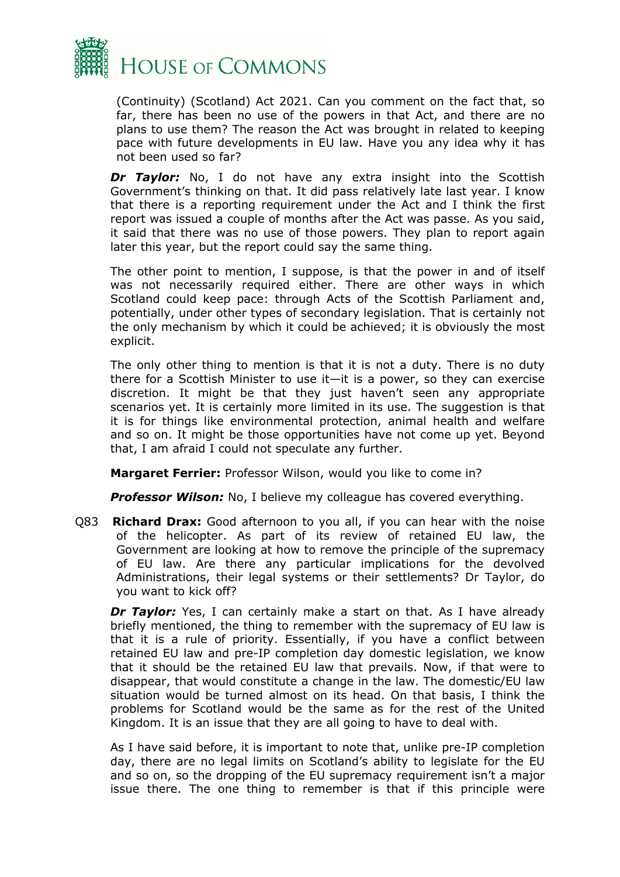

(Continuity) (Scotland) Act 2021. Can you comment on the fact that, so far, there has been no use of the powers in that Act, and there are no plans to use them? The reason the Act was brought in related to keeping pace with future developments in EU law. Have you any idea why it has not been used so far?

*Dr Taylor:* No, I do not have any extra insight into the Scottish Government's thinking on that. It did pass relatively late last year. I know that there is a reporting requirement under the Act and I think the first report was issued a couple of months after the Act was passe. As you said, it said that there was no use of those powers. They plan to report again later this year, but the report could say the same thing.

The other point to mention, I suppose, is that the power in and of itself was not necessarily required either. There are other ways in which Scotland could keep pace: through Acts of the Scottish Parliament and, potentially, under other types of secondary legislation. That is certainly not the only mechanism by which it could be achieved; it is obviously the most explicit.

The only other thing to mention is that it is not a duty. There is no duty there for a Scottish Minister to use it—it is a power, so they can exercise discretion. It might be that they just haven't seen any appropriate scenarios yet. It is certainly more limited in its use. The suggestion is that it is for things like environmental protection, animal health and welfare and so on. It might be those opportunities have not come up yet. Beyond that, I am afraid I could not speculate any further.

**Margaret Ferrier:** Professor Wilson, would you like to come in?

**Professor Wilson:** No, I believe my colleague has covered everything.

Q83 **Richard Drax:** Good afternoon to you all, if you can hear with the noise of the helicopter. As part of its review of retained EU law, the Government are looking at how to remove the principle of the supremacy of EU law. Are there any particular implications for the devolved Administrations, their legal systems or their settlements? Dr Taylor, do you want to kick off?

**Dr Taylor:** Yes, I can certainly make a start on that. As I have already briefly mentioned, the thing to remember with the supremacy of EU law is that it is a rule of priority. Essentially, if you have a conflict between retained EU law and pre-IP completion day domestic legislation, we know that it should be the retained EU law that prevails. Now, if that were to disappear, that would constitute a change in the law. The domestic/EU law situation would be turned almost on its head. On that basis, I think the problems for Scotland would be the same as for the rest of the United Kingdom. It is an issue that they are all going to have to deal with.

As I have said before, it is important to note that, unlike pre-IP completion day, there are no legal limits on Scotland's ability to legislate for the EU and so on, so the dropping of the EU supremacy requirement isn't a major issue there. The one thing to remember is that if this principle were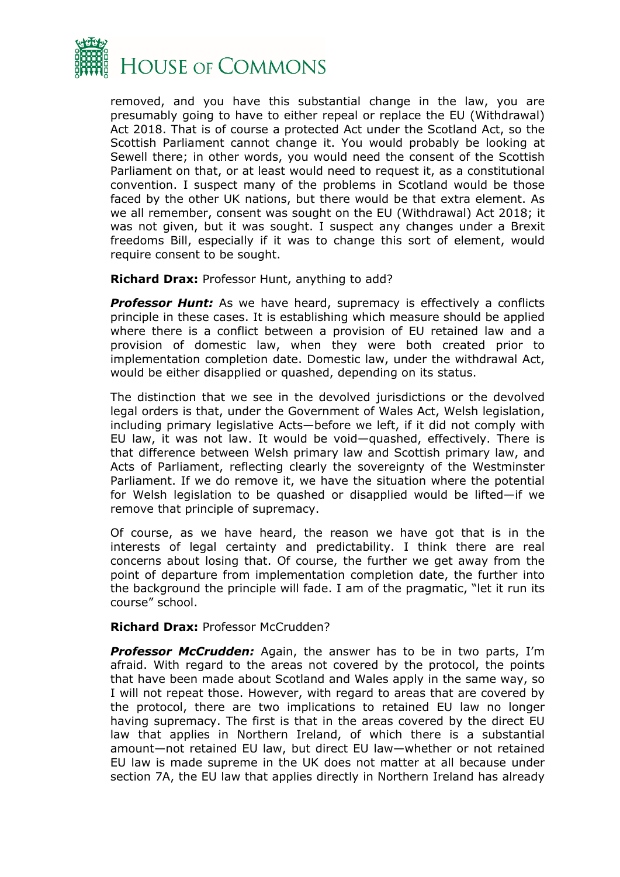

removed, and you have this substantial change in the law, you are presumably going to have to either repeal or replace the EU (Withdrawal) Act 2018. That is of course a protected Act under the Scotland Act, so the Scottish Parliament cannot change it. You would probably be looking at Sewell there; in other words, you would need the consent of the Scottish Parliament on that, or at least would need to request it, as a constitutional convention. I suspect many of the problems in Scotland would be those faced by the other UK nations, but there would be that extra element. As we all remember, consent was sought on the EU (Withdrawal) Act 2018; it was not given, but it was sought. I suspect any changes under a Brexit freedoms Bill, especially if it was to change this sort of element, would require consent to be sought.

**Richard Drax:** Professor Hunt, anything to add?

**Professor Hunt:** As we have heard, supremacy is effectively a conflicts principle in these cases. It is establishing which measure should be applied where there is a conflict between a provision of EU retained law and a provision of domestic law, when they were both created prior to implementation completion date. Domestic law, under the withdrawal Act, would be either disapplied or quashed, depending on its status.

The distinction that we see in the devolved jurisdictions or the devolved legal orders is that, under the Government of Wales Act, Welsh legislation, including primary legislative Acts—before we left, if it did not comply with EU law, it was not law. It would be void—quashed, effectively. There is that difference between Welsh primary law and Scottish primary law, and Acts of Parliament, reflecting clearly the sovereignty of the Westminster Parliament. If we do remove it, we have the situation where the potential for Welsh legislation to be quashed or disapplied would be lifted—if we remove that principle of supremacy.

Of course, as we have heard, the reason we have got that is in the interests of legal certainty and predictability. I think there are real concerns about losing that. Of course, the further we get away from the point of departure from implementation completion date, the further into the background the principle will fade. I am of the pragmatic, "let it run its course" school.

**Richard Drax:** Professor McCrudden?

*Professor McCrudden:* Again, the answer has to be in two parts, I'm afraid. With regard to the areas not covered by the protocol, the points that have been made about Scotland and Wales apply in the same way, so I will not repeat those. However, with regard to areas that are covered by the protocol, there are two implications to retained EU law no longer having supremacy. The first is that in the areas covered by the direct EU law that applies in Northern Ireland, of which there is a substantial amount—not retained EU law, but direct EU law—whether or not retained EU law is made supreme in the UK does not matter at all because under section 7A, the EU law that applies directly in Northern Ireland has already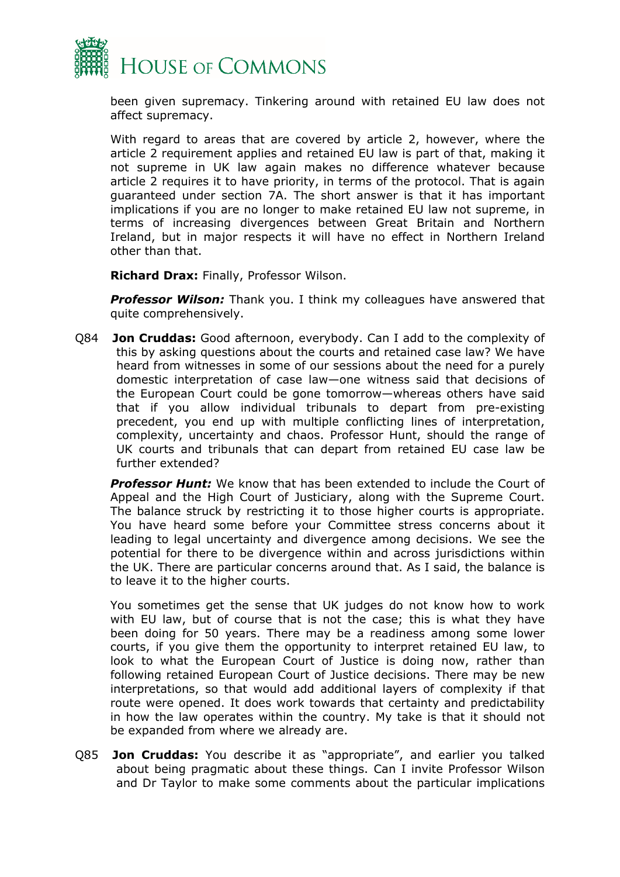

been given supremacy. Tinkering around with retained EU law does not affect supremacy.

With regard to areas that are covered by article 2, however, where the article 2 requirement applies and retained EU law is part of that, making it not supreme in UK law again makes no difference whatever because article 2 requires it to have priority, in terms of the protocol. That is again guaranteed under section 7A. The short answer is that it has important implications if you are no longer to make retained EU law not supreme, in terms of increasing divergences between Great Britain and Northern Ireland, but in major respects it will have no effect in Northern Ireland other than that.

**Richard Drax:** Finally, Professor Wilson.

**Professor Wilson:** Thank you. I think my colleagues have answered that quite comprehensively.

Q84 **Jon Cruddas:** Good afternoon, everybody. Can I add to the complexity of this by asking questions about the courts and retained case law? We have heard from witnesses in some of our sessions about the need for a purely domestic interpretation of case law—one witness said that decisions of the European Court could be gone tomorrow—whereas others have said that if you allow individual tribunals to depart from pre-existing precedent, you end up with multiple conflicting lines of interpretation, complexity, uncertainty and chaos. Professor Hunt, should the range of UK courts and tribunals that can depart from retained EU case law be further extended?

*Professor Hunt:* We know that has been extended to include the Court of Appeal and the High Court of Justiciary, along with the Supreme Court. The balance struck by restricting it to those higher courts is appropriate. You have heard some before your Committee stress concerns about it leading to legal uncertainty and divergence among decisions. We see the potential for there to be divergence within and across jurisdictions within the UK. There are particular concerns around that. As I said, the balance is to leave it to the higher courts.

You sometimes get the sense that UK judges do not know how to work with EU law, but of course that is not the case; this is what they have been doing for 50 years. There may be a readiness among some lower courts, if you give them the opportunity to interpret retained EU law, to look to what the European Court of Justice is doing now, rather than following retained European Court of Justice decisions. There may be new interpretations, so that would add additional layers of complexity if that route were opened. It does work towards that certainty and predictability in how the law operates within the country. My take is that it should not be expanded from where we already are.

Q85 **Jon Cruddas:** You describe it as "appropriate", and earlier you talked about being pragmatic about these things. Can I invite Professor Wilson and Dr Taylor to make some comments about the particular implications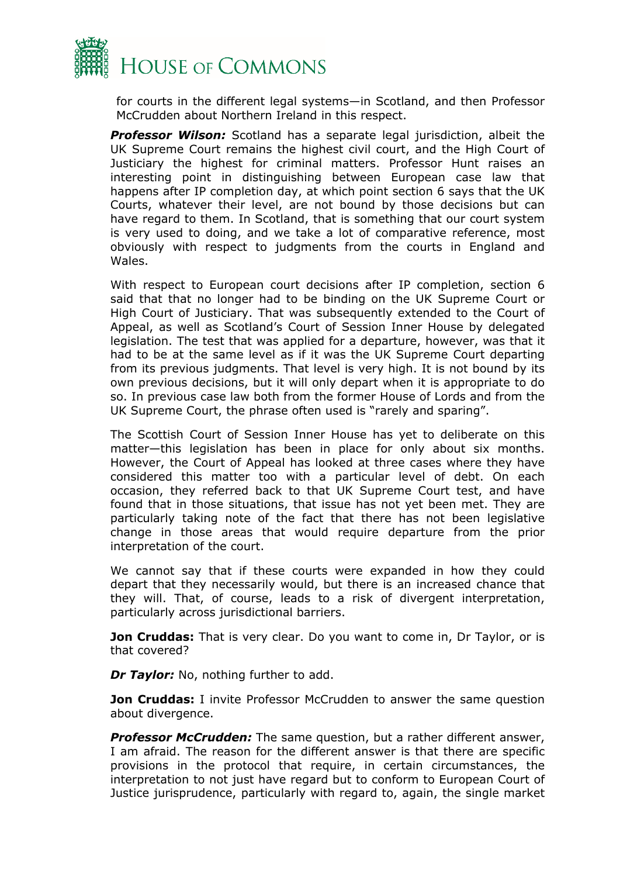

for courts in the different legal systems—in Scotland, and then Professor McCrudden about Northern Ireland in this respect.

*Professor Wilson:* Scotland has a separate legal jurisdiction, albeit the UK Supreme Court remains the highest civil court, and the High Court of Justiciary the highest for criminal matters. Professor Hunt raises an interesting point in distinguishing between European case law that happens after IP completion day, at which point section 6 says that the UK Courts, whatever their level, are not bound by those decisions but can have regard to them. In Scotland, that is something that our court system is very used to doing, and we take a lot of comparative reference, most obviously with respect to judgments from the courts in England and Wales.

With respect to European court decisions after IP completion, section 6 said that that no longer had to be binding on the UK Supreme Court or High Court of Justiciary. That was subsequently extended to the Court of Appeal, as well as Scotland's Court of Session Inner House by delegated legislation. The test that was applied for a departure, however, was that it had to be at the same level as if it was the UK Supreme Court departing from its previous judgments. That level is very high. It is not bound by its own previous decisions, but it will only depart when it is appropriate to do so. In previous case law both from the former House of Lords and from the UK Supreme Court, the phrase often used is "rarely and sparing".

The Scottish Court of Session Inner House has yet to deliberate on this matter—this legislation has been in place for only about six months. However, the Court of Appeal has looked at three cases where they have considered this matter too with a particular level of debt. On each occasion, they referred back to that UK Supreme Court test, and have found that in those situations, that issue has not yet been met. They are particularly taking note of the fact that there has not been legislative change in those areas that would require departure from the prior interpretation of the court.

We cannot say that if these courts were expanded in how they could depart that they necessarily would, but there is an increased chance that they will. That, of course, leads to a risk of divergent interpretation, particularly across jurisdictional barriers.

**Jon Cruddas:** That is very clear. Do you want to come in, Dr Taylor, or is that covered?

*Dr Taylor:* No, nothing further to add.

**Jon Cruddas:** I invite Professor McCrudden to answer the same question about divergence.

*Professor McCrudden:* The same question, but a rather different answer, I am afraid. The reason for the different answer is that there are specific provisions in the protocol that require, in certain circumstances, the interpretation to not just have regard but to conform to European Court of Justice jurisprudence, particularly with regard to, again, the single market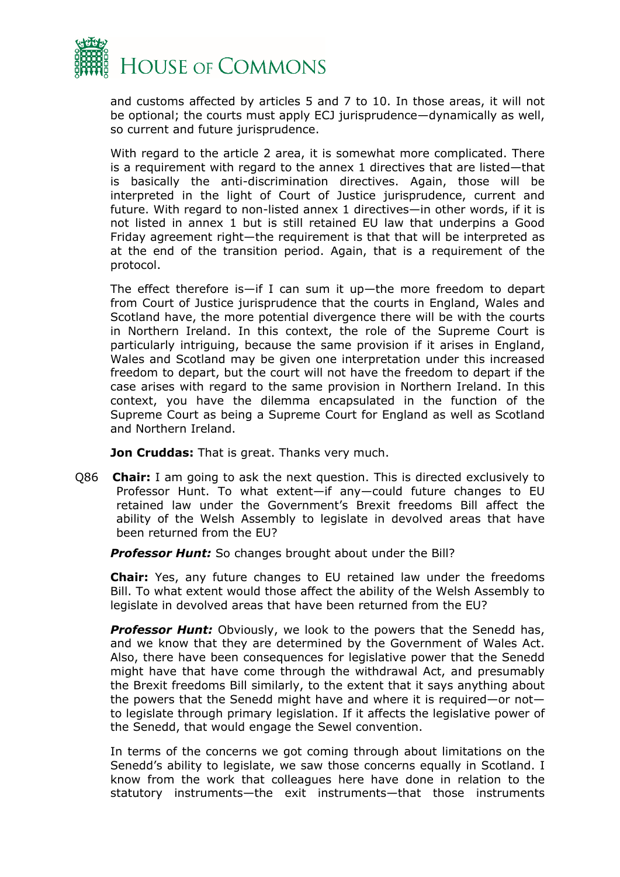

and customs affected by articles 5 and 7 to 10. In those areas, it will not be optional; the courts must apply ECJ jurisprudence—dynamically as well, so current and future jurisprudence.

With regard to the article 2 area, it is somewhat more complicated. There is a requirement with regard to the annex 1 directives that are listed—that is basically the anti-discrimination directives. Again, those will be interpreted in the light of Court of Justice jurisprudence, current and future. With regard to non-listed annex 1 directives—in other words, if it is not listed in annex 1 but is still retained EU law that underpins a Good Friday agreement right—the requirement is that that will be interpreted as at the end of the transition period. Again, that is a requirement of the protocol.

The effect therefore is—if I can sum it up—the more freedom to depart from Court of Justice jurisprudence that the courts in England, Wales and Scotland have, the more potential divergence there will be with the courts in Northern Ireland. In this context, the role of the Supreme Court is particularly intriguing, because the same provision if it arises in England, Wales and Scotland may be given one interpretation under this increased freedom to depart, but the court will not have the freedom to depart if the case arises with regard to the same provision in Northern Ireland. In this context, you have the dilemma encapsulated in the function of the Supreme Court as being a Supreme Court for England as well as Scotland and Northern Ireland.

**Jon Cruddas:** That is great. Thanks very much.

Q86 **Chair:** I am going to ask the next question. This is directed exclusively to Professor Hunt. To what extent—if any—could future changes to EU retained law under the Government's Brexit freedoms Bill affect the ability of the Welsh Assembly to legislate in devolved areas that have been returned from the EU?

*Professor Hunt:* So changes brought about under the Bill?

**Chair:** Yes, any future changes to EU retained law under the freedoms Bill. To what extent would those affect the ability of the Welsh Assembly to legislate in devolved areas that have been returned from the EU?

**Professor Hunt:** Obviously, we look to the powers that the Senedd has, and we know that they are determined by the Government of Wales Act. Also, there have been consequences for legislative power that the Senedd might have that have come through the withdrawal Act, and presumably the Brexit freedoms Bill similarly, to the extent that it says anything about the powers that the Senedd might have and where it is required—or not to legislate through primary legislation. If it affects the legislative power of the Senedd, that would engage the Sewel convention.

In terms of the concerns we got coming through about limitations on the Senedd's ability to legislate, we saw those concerns equally in Scotland. I know from the work that colleagues here have done in relation to the statutory instruments—the exit instruments—that those instruments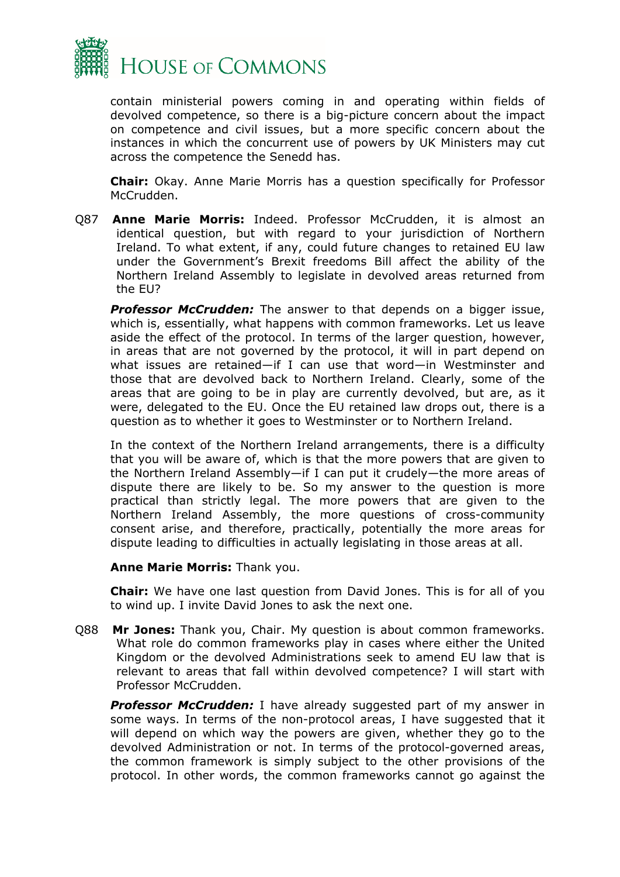

contain ministerial powers coming in and operating within fields of devolved competence, so there is a big-picture concern about the impact on competence and civil issues, but a more specific concern about the instances in which the concurrent use of powers by UK Ministers may cut across the competence the Senedd has.

**Chair:** Okay. Anne Marie Morris has a question specifically for Professor McCrudden.

Q87 **Anne Marie Morris:** Indeed. Professor McCrudden, it is almost an identical question, but with regard to your jurisdiction of Northern Ireland. To what extent, if any, could future changes to retained EU law under the Government's Brexit freedoms Bill affect the ability of the Northern Ireland Assembly to legislate in devolved areas returned from the EU?

*Professor McCrudden:* The answer to that depends on a bigger issue, which is, essentially, what happens with common frameworks. Let us leave aside the effect of the protocol. In terms of the larger question, however, in areas that are not governed by the protocol, it will in part depend on what issues are retained—if I can use that word—in Westminster and those that are devolved back to Northern Ireland. Clearly, some of the areas that are going to be in play are currently devolved, but are, as it were, delegated to the EU. Once the EU retained law drops out, there is a question as to whether it goes to Westminster or to Northern Ireland.

In the context of the Northern Ireland arrangements, there is a difficulty that you will be aware of, which is that the more powers that are given to the Northern Ireland Assembly—if I can put it crudely—the more areas of dispute there are likely to be. So my answer to the question is more practical than strictly legal. The more powers that are given to the Northern Ireland Assembly, the more questions of cross-community consent arise, and therefore, practically, potentially the more areas for dispute leading to difficulties in actually legislating in those areas at all.

**Anne Marie Morris:** Thank you.

**Chair:** We have one last question from David Jones. This is for all of you to wind up. I invite David Jones to ask the next one.

Q88 **Mr Jones:** Thank you, Chair. My question is about common frameworks. What role do common frameworks play in cases where either the United Kingdom or the devolved Administrations seek to amend EU law that is relevant to areas that fall within devolved competence? I will start with Professor McCrudden.

**Professor McCrudden:** I have already suggested part of my answer in some ways. In terms of the non-protocol areas, I have suggested that it will depend on which way the powers are given, whether they go to the devolved Administration or not. In terms of the protocol-governed areas, the common framework is simply subject to the other provisions of the protocol. In other words, the common frameworks cannot go against the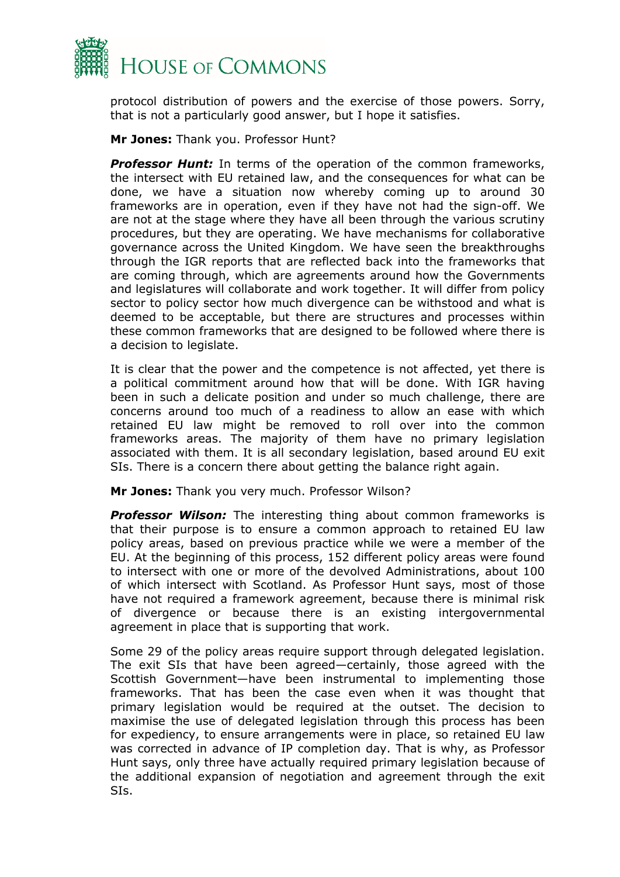

protocol distribution of powers and the exercise of those powers. Sorry, that is not a particularly good answer, but I hope it satisfies.

**Mr Jones:** Thank you. Professor Hunt?

*Professor Hunt:* In terms of the operation of the common frameworks, the intersect with EU retained law, and the consequences for what can be done, we have a situation now whereby coming up to around 30 frameworks are in operation, even if they have not had the sign-off. We are not at the stage where they have all been through the various scrutiny procedures, but they are operating. We have mechanisms for collaborative governance across the United Kingdom. We have seen the breakthroughs through the IGR reports that are reflected back into the frameworks that are coming through, which are agreements around how the Governments and legislatures will collaborate and work together. It will differ from policy sector to policy sector how much divergence can be withstood and what is deemed to be acceptable, but there are structures and processes within these common frameworks that are designed to be followed where there is a decision to legislate.

It is clear that the power and the competence is not affected, yet there is a political commitment around how that will be done. With IGR having been in such a delicate position and under so much challenge, there are concerns around too much of a readiness to allow an ease with which retained EU law might be removed to roll over into the common frameworks areas. The majority of them have no primary legislation associated with them. It is all secondary legislation, based around EU exit SIs. There is a concern there about getting the balance right again.

**Mr Jones:** Thank you very much. Professor Wilson?

**Professor Wilson:** The interesting thing about common frameworks is that their purpose is to ensure a common approach to retained EU law policy areas, based on previous practice while we were a member of the EU. At the beginning of this process, 152 different policy areas were found to intersect with one or more of the devolved Administrations, about 100 of which intersect with Scotland. As Professor Hunt says, most of those have not required a framework agreement, because there is minimal risk of divergence or because there is an existing intergovernmental agreement in place that is supporting that work.

Some 29 of the policy areas require support through delegated legislation. The exit SIs that have been agreed—certainly, those agreed with the Scottish Government—have been instrumental to implementing those frameworks. That has been the case even when it was thought that primary legislation would be required at the outset. The decision to maximise the use of delegated legislation through this process has been for expediency, to ensure arrangements were in place, so retained EU law was corrected in advance of IP completion day. That is why, as Professor Hunt says, only three have actually required primary legislation because of the additional expansion of negotiation and agreement through the exit SIs.